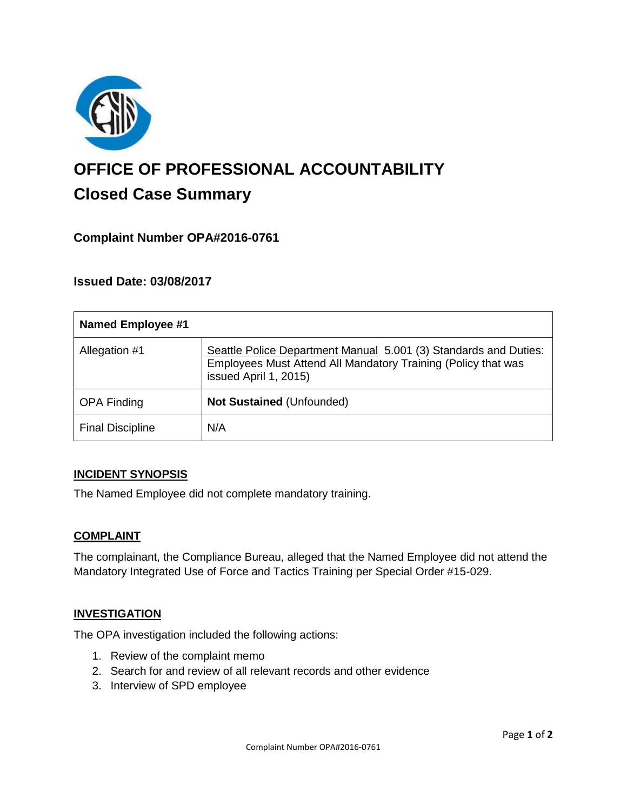

# **OFFICE OF PROFESSIONAL ACCOUNTABILITY Closed Case Summary**

## **Complaint Number OPA#2016-0761**

## **Issued Date: 03/08/2017**

| <b>Named Employee #1</b> |                                                                                                                                                            |
|--------------------------|------------------------------------------------------------------------------------------------------------------------------------------------------------|
| Allegation #1            | Seattle Police Department Manual 5.001 (3) Standards and Duties:<br>Employees Must Attend All Mandatory Training (Policy that was<br>issued April 1, 2015) |
| <b>OPA Finding</b>       | Not Sustained (Unfounded)                                                                                                                                  |
| <b>Final Discipline</b>  | N/A                                                                                                                                                        |

#### **INCIDENT SYNOPSIS**

The Named Employee did not complete mandatory training.

#### **COMPLAINT**

The complainant, the Compliance Bureau, alleged that the Named Employee did not attend the Mandatory Integrated Use of Force and Tactics Training per Special Order #15-029.

#### **INVESTIGATION**

The OPA investigation included the following actions:

- 1. Review of the complaint memo
- 2. Search for and review of all relevant records and other evidence
- 3. Interview of SPD employee